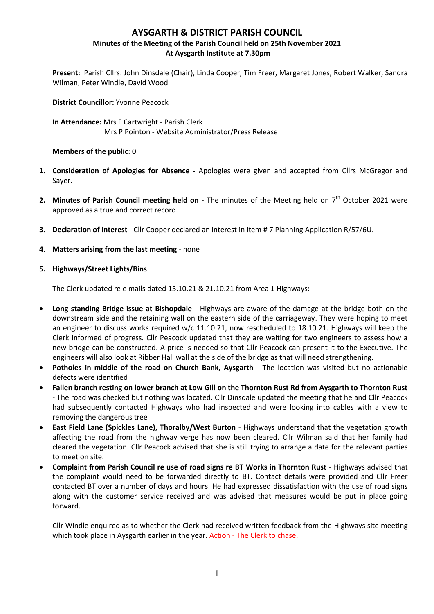# **AYSGARTH & DISTRICT PARISH COUNCIL Minutes of the Meeting of the Parish Council held on 25th November 2021 At Aysgarth Institute at 7.30pm**

**Present:** Parish Cllrs: John Dinsdale (Chair), Linda Cooper, Tim Freer, Margaret Jones, Robert Walker, Sandra Wilman, Peter Windle, David Wood

**District Councillor:** Yvonne Peacock

**In Attendance:** Mrs F Cartwright - Parish Clerk Mrs P Pointon - Website Administrator/Press Release

#### **Members of the public**: 0

- **1. Consideration of Apologies for Absence -** Apologies were given and accepted from Cllrs McGregor and Sayer.
- 2. Minutes of Parish Council meeting held on The minutes of the Meeting held on 7<sup>th</sup> October 2021 were approved as a true and correct record.
- **3. Declaration of interest** Cllr Cooper declared an interest in item # 7 Planning Application R/57/6U.
- **4. Matters arising from the last meeting** none
- **5. Highways/Street Lights/Bins**

The Clerk updated re e mails dated 15.10.21 & 21.10.21 from Area 1 Highways:

- **Long standing Bridge issue at Bishopdale** Highways are aware of the damage at the bridge both on the downstream side and the retaining wall on the eastern side of the carriageway. They were hoping to meet an engineer to discuss works required w/c 11.10.21, now rescheduled to 18.10.21. Highways will keep the Clerk informed of progress. Cllr Peacock updated that they are waiting for two engineers to assess how a new bridge can be constructed. A price is needed so that Cllr Peacock can present it to the Executive. The engineers will also look at Ribber Hall wall at the side of the bridge as that will need strengthening.
- **Potholes in middle of the road on Church Bank, Aysgarth** The location was visited but no actionable defects were identified
- **Fallen branch resting on lower branch at Low Gill on the Thornton Rust Rd from Aysgarth to Thornton Rust** - The road was checked but nothing was located. Cllr Dinsdale updated the meeting that he and Cllr Peacock had subsequently contacted Highways who had inspected and were looking into cables with a view to removing the dangerous tree
- **East Field Lane (Spickles Lane), Thoralby/West Burton** Highways understand that the vegetation growth affecting the road from the highway verge has now been cleared. Cllr Wilman said that her family had cleared the vegetation. Cllr Peacock advised that she is still trying to arrange a date for the relevant parties to meet on site.
- **Complaint from Parish Council re use of road signs re BT Works in Thornton Rust** Highways advised that the complaint would need to be forwarded directly to BT. Contact details were provided and Cllr Freer contacted BT over a number of days and hours. He had expressed dissatisfaction with the use of road signs along with the customer service received and was advised that measures would be put in place going forward.

Cllr Windle enquired as to whether the Clerk had received written feedback from the Highways site meeting which took place in Aysgarth earlier in the year. Action - The Clerk to chase.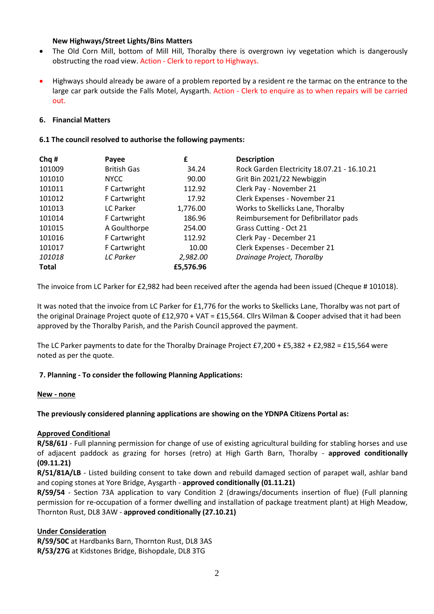### **New Highways/Street Lights/Bins Matters**

- The Old Corn Mill, bottom of Mill Hill, Thoralby there is overgrown ivy vegetation which is dangerously obstructing the road view. Action - Clerk to report to Highways.
- Highways should already be aware of a problem reported by a resident re the tarmac on the entrance to the large car park outside the Falls Motel, Aysgarth. Action - Clerk to enquire as to when repairs will be carried out.

### **6. Financial Matters**

### **6.1 The council resolved to authorise the following payments:**

| Chq#         | Payee              | £         | <b>Description</b>                          |
|--------------|--------------------|-----------|---------------------------------------------|
| 101009       | <b>British Gas</b> | 34.24     | Rock Garden Electricity 18.07.21 - 16.10.21 |
| 101010       | <b>NYCC</b>        | 90.00     | Grit Bin 2021/22 Newbiggin                  |
| 101011       | F Cartwright       | 112.92    | Clerk Pay - November 21                     |
| 101012       | F Cartwright       | 17.92     | Clerk Expenses - November 21                |
| 101013       | LC Parker          | 1,776.00  | Works to Skellicks Lane, Thoralby           |
| 101014       | F Cartwright       | 186.96    | Reimbursement for Defibrillator pads        |
| 101015       | A Goulthorpe       | 254.00    | Grass Cutting - Oct 21                      |
| 101016       | F Cartwright       | 112.92    | Clerk Pay - December 21                     |
| 101017       | F Cartwright       | 10.00     | Clerk Expenses - December 21                |
| 101018       | LC Parker          | 2,982.00  | Drainage Project, Thoralby                  |
| <b>Total</b> |                    | £5,576.96 |                                             |

The invoice from LC Parker for £2,982 had been received after the agenda had been issued (Cheque # 101018).

It was noted that the invoice from LC Parker for £1,776 for the works to Skellicks Lane, Thoralby was not part of the original Drainage Project quote of £12,970 + VAT = £15,564. Cllrs Wilman & Cooper advised that it had been approved by the Thoralby Parish, and the Parish Council approved the payment.

The LC Parker payments to date for the Thoralby Drainage Project £7,200 + £5,382 + £2,982 = £15,564 were noted as per the quote.

# **7. Planning - To consider the following Planning Applications:**

#### **New - none**

**The previously considered planning applications are showing on the YDNPA Citizens Portal as:**

#### **Approved Conditional**

**R/58/61J** - Full planning permission for change of use of existing agricultural building for stabling horses and use of adjacent paddock as grazing for horses (retro) at High Garth Barn, Thoralby - **approved conditionally (09.11.21)**

**R/51/81A/LB** - Listed building consent to take down and rebuild damaged section of parapet wall, ashlar band and coping stones at Yore Bridge, Aysgarth - **approved conditionally (01.11.21)**

**R/59/54** - Section 73A application to vary Condition 2 (drawings/documents insertion of flue) (Full planning permission for re-occupation of a former dwelling and installation of package treatment plant) at High Meadow, Thornton Rust, DL8 3AW - **approved conditionally (27.10.21)**

# **Under Consideration**

**R/59/50C** at Hardbanks Barn, Thornton Rust, DL8 3AS **R/53/27G** at Kidstones Bridge, Bishopdale, DL8 3TG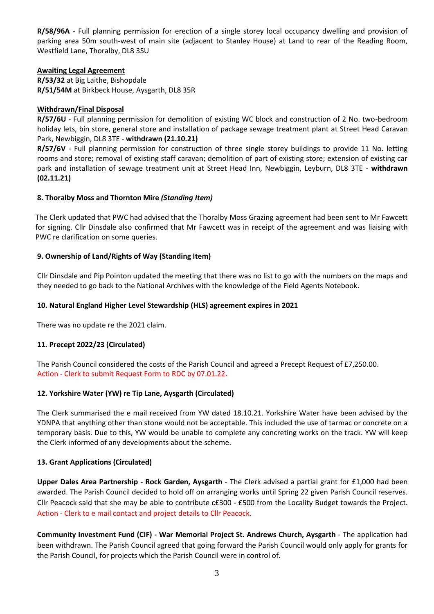**R/58/96A** - Full planning permission for erection of a single storey local occupancy dwelling and provision of parking area 50m south-west of main site (adjacent to Stanley House) at Land to rear of the Reading Room, Westfield Lane, Thoralby, DL8 3SU

### **Awaiting Legal Agreement**

**R/53/32** at Big Laithe, Bishopdale **R/51/54M** at Birkbeck House, Aysgarth, DL8 35R

## **Withdrawn/Final Disposal**

**R/57/6U** - Full planning permission for demolition of existing WC block and construction of 2 No. two-bedroom holiday lets, bin store, general store and installation of package sewage treatment plant at Street Head Caravan Park, Newbiggin, DL8 3TE - **withdrawn (21.10.21)**

**R/57/6V** - Full planning permission for construction of three single storey buildings to provide 11 No. letting rooms and store; removal of existing staff caravan; demolition of part of existing store; extension of existing car park and installation of sewage treatment unit at Street Head Inn, Newbiggin, Leyburn, DL8 3TE - **withdrawn (02.11.21)**

# **8. Thoralby Moss and Thornton Mire** *(Standing Item)*

The Clerk updated that PWC had advised that the Thoralby Moss Grazing agreement had been sent to Mr Fawcett for signing. Cllr Dinsdale also confirmed that Mr Fawcett was in receipt of the agreement and was liaising with PWC re clarification on some queries.

### **9. Ownership of Land/Rights of Way (Standing Item)**

Cllr Dinsdale and Pip Pointon updated the meeting that there was no list to go with the numbers on the maps and they needed to go back to the National Archives with the knowledge of the Field Agents Notebook.

## **10. Natural England Higher Level Stewardship (HLS) agreement expires in 2021**

There was no update re the 2021 claim.

# **11. Precept 2022/23 (Circulated)**

The Parish Council considered the costs of the Parish Council and agreed a Precept Request of £7,250.00. Action - Clerk to submit Request Form to RDC by 07.01.22.

# **12. Yorkshire Water (YW) re Tip Lane, Aysgarth (Circulated)**

The Clerk summarised the e mail received from YW dated 18.10.21. Yorkshire Water have been advised by the YDNPA that anything other than stone would not be acceptable. This included the use of tarmac or concrete on a temporary basis. Due to this, YW would be unable to complete any concreting works on the track. YW will keep the Clerk informed of any developments about the scheme.

#### **13. Grant Applications (Circulated)**

**Upper Dales Area Partnership - Rock Garden, Aysgarth** - The Clerk advised a partial grant for £1,000 had been awarded. The Parish Council decided to hold off on arranging works until Spring 22 given Parish Council reserves. Cllr Peacock said that she may be able to contribute c£300 - £500 from the Locality Budget towards the Project. Action - Clerk to e mail contact and project details to Cllr Peacock.

**Community Investment Fund (CIF) - War Memorial Project St. Andrews Church, Aysgarth** - The application had been withdrawn. The Parish Council agreed that going forward the Parish Council would only apply for grants for the Parish Council, for projects which the Parish Council were in control of.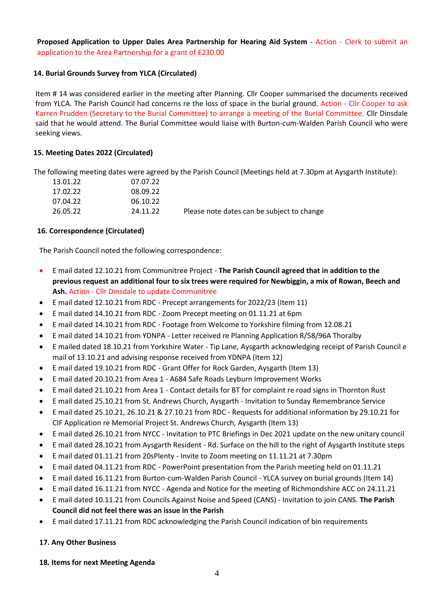**Proposed Application to Upper Dales Area Partnership for Hearing Aid System** - Action - Clerk to submit an application to the Area Partnership for a grant of £230.00

## **14. Burial Grounds Survey from YLCA (Circulated)**

Item # 14 was considered earlier in the meeting after Planning. Cllr Cooper summarised the documents received from YLCA. The Parish Council had concerns re the loss of space in the burial ground. Action - Cllr Cooper to ask Karren Prudden (Secretary to the Burial Committee) to arrange a meeting of the Burial Committee. Cllr Dinsdale said that he would attend. The Burial Committee would liaise with Burton-cum-Walden Parish Council who were seeking views.

### **15. Meeting Dates 2022 (Circulated)**

The following meeting dates were agreed by the Parish Council (Meetings held at 7.30pm at Aysgarth Institute):

|                                            | 07.07.22 | 13.01.22 |
|--------------------------------------------|----------|----------|
|                                            | 08.09.22 | 17.02.22 |
|                                            | 06.10.22 | 07.04.22 |
| Please note dates can be subject to change | 24.11.22 | 26.05.22 |
|                                            |          |          |

#### **16. Correspondence (Circulated)**

The Parish Council noted the following correspondence:

- E mail dated 12.10.21 from Communitree Project **The Parish Council agreed that in addition to the previous request an additional four to six trees were required for Newbiggin, a mix of Rowan, Beech and Ash.** Action - Cllr Dinsdale to update Communitree
- E mail dated 12.10.21 from RDC Precept arrangements for 2022/23 (Item 11)
- E mail dated 14.10.21 from RDC Zoom Precept meeting on 01.11.21 at 6pm
- E mail dated 14.10.21 from RDC Footage from Welcome to Yorkshire filming from 12.08.21
- E mail dated 14.10.21 from YDNPA Letter received re Planning Application R/58/96A Thoralby
- E mailed dated 18.10.21 from Yorkshire Water Tip Lane, Aysgarth acknowledging receipt of Parish Council e mail of 13.10.21 and advising response received from YDNPA (Item 12)
- E mail dated 19.10.21 from RDC Grant Offer for Rock Garden, Aysgarth (Item 13)
- E mail dated 20.10.21 from Area 1 A684 Safe Roads Leyburn Improvement Works
- E mail dated 21.10.21 from Area 1 Contact details for BT for complaint re road signs in Thornton Rust
- E mail dated 25.10.21 from St. Andrews Church, Aysgarth Invitation to Sunday Remembrance Service
- E mail dated 25.10.21, 26.10.21 & 27.10.21 from RDC Requests for additional information by 29.10.21 for CIF Application re Memorial Project St. Andrews Church, Aysgarth (Item 13)
- E mail dated 26.10.21 from NYCC Invitation to PTC Briefings in Dec 2021 update on the new unitary council
- E mail dated 28.10.21 from Aysgarth Resident Rd. Surface on the hill to the right of Aysgarth Institute steps
- E mail dated 01.11.21 from 20sPlenty Invite to Zoom meeting on 11.11.21 at 7.30pm
- E mail dated 04.11.21 from RDC PowerPoint presentation from the Parish meeting held on 01.11.21
- E mail dated 16.11.21 from Burton-cum-Walden Parish Council YLCA survey on burial grounds (Item 14)
- E mail dated 16.11.21 from NYCC Agenda and Notice for the meeting of Richmondshire ACC on 24.11.21
- E mail dated 10.11.21 from Councils Against Noise and Speed (CANS) Invitation to join CANS. **The Parish Council did not feel there was an issue in the Parish**
- E mail dated 17.11.21 from RDC acknowledging the Parish Council indication of bin requirements

#### **17. Any Other Business**

**18. Items for next Meeting Agenda**